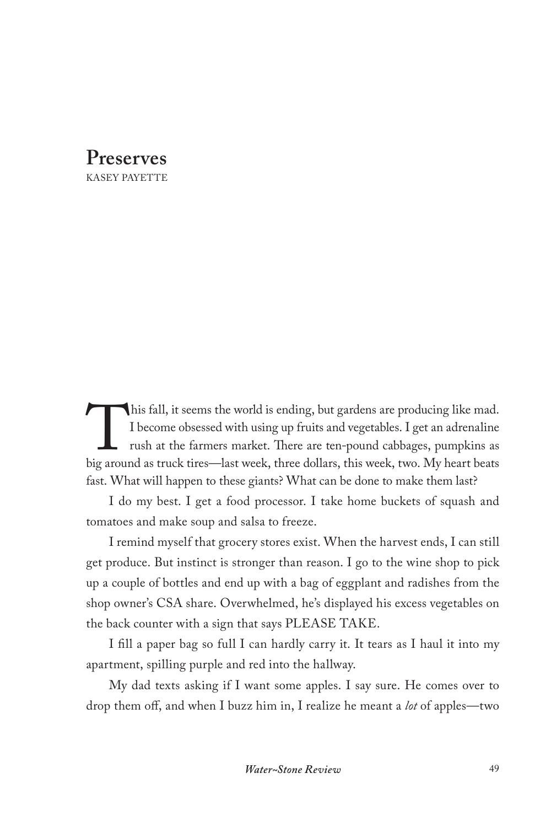**Preserves** KASEY PAYETTE

This fall, it seems the world is ending, but gardens are producing like mad.<br>I become obsessed with using up fruits and vegetables. I get an adrenaline<br>rush at the farmers market. There are ten-pound cabbages, pumpkins as<br> I become obsessed with using up fruits and vegetables. I get an adrenaline rush at the farmers market. There are ten-pound cabbages, pumpkins as big around as truck tires—last week, three dollars, this week, two. My heart beats fast. What will happen to these giants? What can be done to make them last?

I do my best. I get a food processor. I take home buckets of squash and tomatoes and make soup and salsa to freeze.

I remind myself that grocery stores exist. When the harvest ends, I can still get produce. But instinct is stronger than reason. I go to the wine shop to pick up a couple of bottles and end up with a bag of eggplant and radishes from the shop owner's CSA share. Overwhelmed, he's displayed his excess vegetables on the back counter with a sign that says PLEASE TAKE.

I fill a paper bag so full I can hardly carry it. It tears as I haul it into my apartment, spilling purple and red into the hallway.

My dad texts asking if I want some apples. I say sure. He comes over to drop them off, and when I buzz him in, I realize he meant a *lot* of apples—two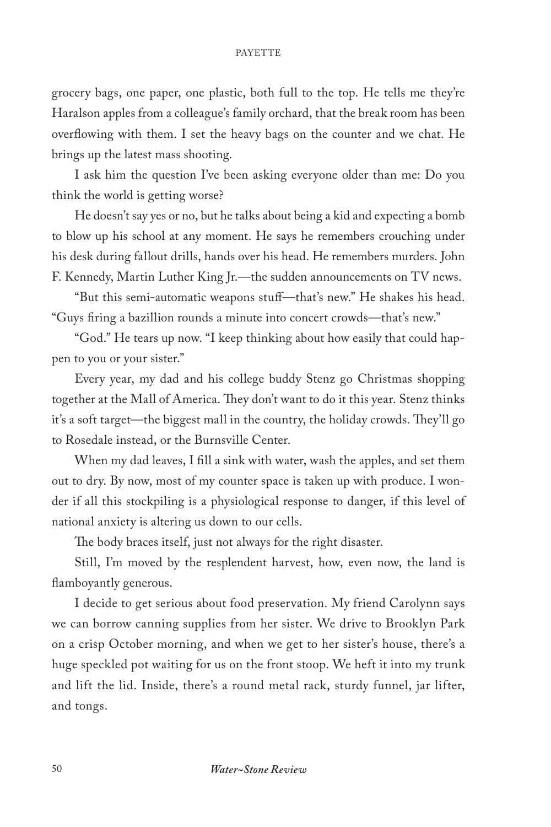## PAYETTE

grocery bags, one paper, one plastic, both full to the top. He tells me they're Haralson apples from a colleague's family orchard, that the break room has been overflowing with them. I set the heavy bags on the counter and we chat. He brings up the latest mass shooting.

I ask him the question I've been asking everyone older than me: Do you think the world is getting worse?

He doesn't say yes or no, but he talks about being a kid and expecting a bomb to blow up his school at any moment. He says he remembers crouching under his desk during fallout drills, hands over his head. He remembers murders. John F. Kennedy, Martin Luther King Jr.—the sudden announcements on TV news.

"But this semi-automatic weapons stuff—that's new." He shakes his head. "Guys firing a bazillion rounds a minute into concert crowds—that's new."

"God." He tears up now. "I keep thinking about how easily that could happen to you or your sister."

Every year, my dad and his college buddy Stenz go Christmas shopping together at the Mall of America. They don't want to do it this year. Stenz thinks it's a soft target—the biggest mall in the country, the holiday crowds. They'll go to Rosedale instead, or the Burnsville Center.

When my dad leaves, I fill a sink with water, wash the apples, and set them out to dry. By now, most of my counter space is taken up with produce. I wonder if all this stockpiling is a physiological response to danger, if this level of national anxiety is altering us down to our cells.

The body braces itself, just not always for the right disaster.

Still, I'm moved by the resplendent harvest, how, even now, the land is flamboyantly generous.

I decide to get serious about food preservation. My friend Carolynn says we can borrow canning supplies from her sister. We drive to Brooklyn Park on a crisp October morning, and when we get to her sister's house, there's a huge speckled pot waiting for us on the front stoop. We heft it into my trunk and lift the lid. Inside, there's a round metal rack, sturdy funnel, jar lifter, and tongs.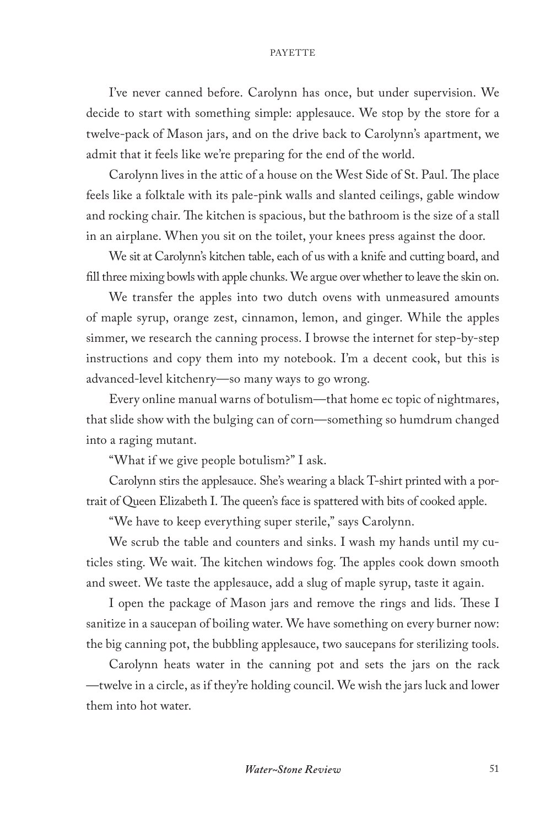## PAYETTE

I've never canned before. Carolynn has once, but under supervision. We decide to start with something simple: applesauce. We stop by the store for a twelve-pack of Mason jars, and on the drive back to Carolynn's apartment, we admit that it feels like we're preparing for the end of the world.

Carolynn lives in the attic of a house on the West Side of St. Paul. The place feels like a folktale with its pale-pink walls and slanted ceilings, gable window and rocking chair. The kitchen is spacious, but the bathroom is the size of a stall in an airplane. When you sit on the toilet, your knees press against the door.

We sit at Carolynn's kitchen table, each of us with a knife and cutting board, and fill three mixing bowls with apple chunks. We argue over whether to leave the skin on.

We transfer the apples into two dutch ovens with unmeasured amounts of maple syrup, orange zest, cinnamon, lemon, and ginger. While the apples simmer, we research the canning process. I browse the internet for step-by-step instructions and copy them into my notebook. I'm a decent cook, but this is advanced-level kitchenry—so many ways to go wrong.

Every online manual warns of botulism—that home ec topic of nightmares, that slide show with the bulging can of corn—something so humdrum changed into a raging mutant.

"What if we give people botulism?" I ask.

Carolynn stirs the applesauce. She's wearing a black T-shirt printed with a portrait of Queen Elizabeth I. The queen's face is spattered with bits of cooked apple.

"We have to keep everything super sterile," says Carolynn.

We scrub the table and counters and sinks. I wash my hands until my cuticles sting. We wait. The kitchen windows fog. The apples cook down smooth and sweet. We taste the applesauce, add a slug of maple syrup, taste it again.

I open the package of Mason jars and remove the rings and lids. These I sanitize in a saucepan of boiling water. We have something on every burner now: the big canning pot, the bubbling applesauce, two saucepans for sterilizing tools.

Carolynn heats water in the canning pot and sets the jars on the rack —twelve in a circle, as if they're holding council. We wish the jars luck and lower them into hot water.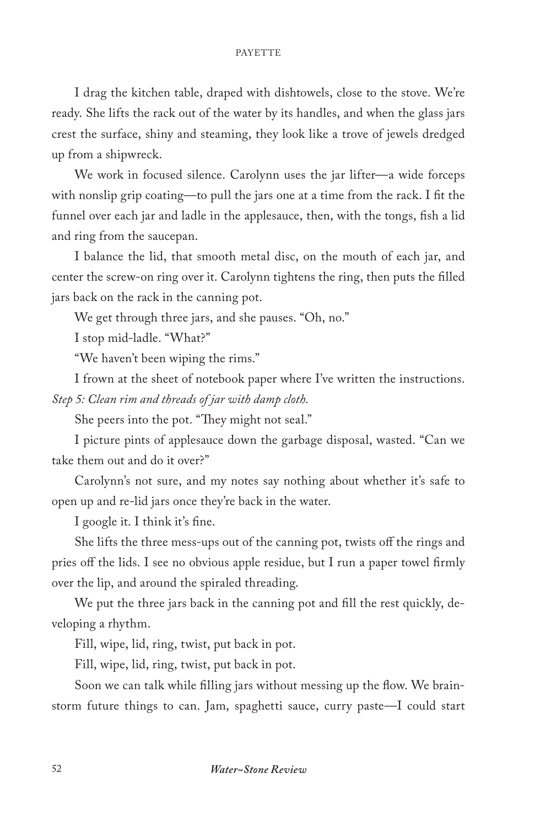## PAYETTE

I drag the kitchen table, draped with dishtowels, close to the stove. We're ready. She lifts the rack out of the water by its handles, and when the glass jars crest the surface, shiny and steaming, they look like a trove of jewels dredged up from a shipwreck.

We work in focused silence. Carolynn uses the jar lifter—a wide forceps with nonslip grip coating—to pull the jars one at a time from the rack. I fit the funnel over each jar and ladle in the applesauce, then, with the tongs, fish a lid and ring from the saucepan.

I balance the lid, that smooth metal disc, on the mouth of each jar, and center the screw-on ring over it. Carolynn tightens the ring, then puts the filled jars back on the rack in the canning pot.

We get through three jars, and she pauses. "Oh, no."

I stop mid-ladle. "What?"

"We haven't been wiping the rims."

I frown at the sheet of notebook paper where I've written the instructions. *Step 5: Clean rim and threads of jar with damp cloth.*

She peers into the pot. "They might not seal."

I picture pints of applesauce down the garbage disposal, wasted. "Can we take them out and do it over?"

Carolynn's not sure, and my notes say nothing about whether it's safe to open up and re-lid jars once they're back in the water.

I google it. I think it's fine.

She lifts the three mess-ups out of the canning pot, twists off the rings and pries off the lids. I see no obvious apple residue, but I run a paper towel firmly over the lip, and around the spiraled threading.

We put the three jars back in the canning pot and fill the rest quickly, developing a rhythm.

Fill, wipe, lid, ring, twist, put back in pot.

Fill, wipe, lid, ring, twist, put back in pot.

Soon we can talk while filling jars without messing up the flow. We brainstorm future things to can. Jam, spaghetti sauce, curry paste—I could start